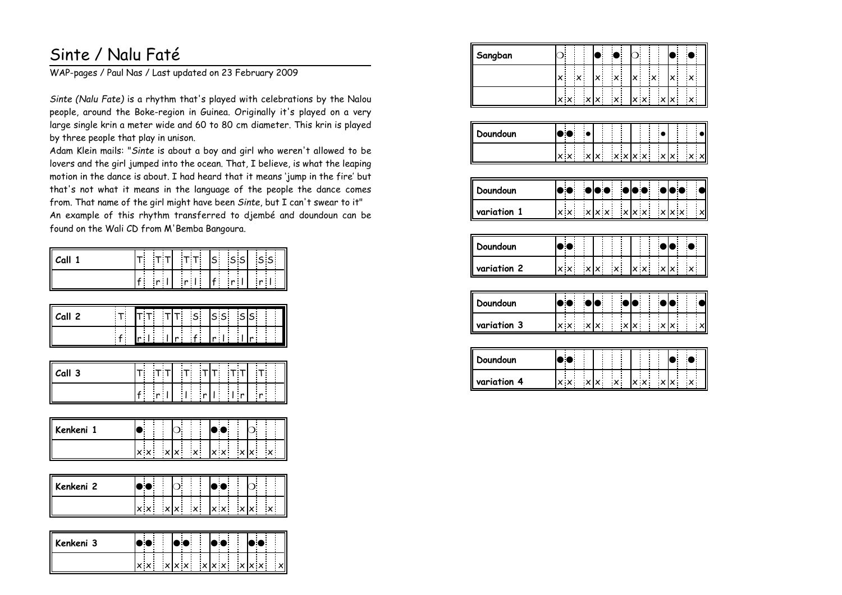## Sinte / Nalu Faté

WAP-pages / Paul Nas / Last updated on 23 February 2009

*Sinte (Nalu Fate)* is a rhythm that's played with celebrations by the Nalou people, around the Boke-region in Guinea. Originally it's played on a very large single krin a meter wide and 60 to 80 cm diameter. This krin is playedby three people that play in unison.

Adam Klein mails: "*Sinte* is about a boy and girl who weren't allowed to be lovers and the girl jumped into the ocean. That, I believe, is what the leaping motion in the dance is about. I had heard that it means 'jump in the fire' but that's not what it means in the language of the people the dance comesfrom. That name of the girl might have been *Sinte*, but I can't swear to it" An example of this rhythm transferred to djembé and doundoun can befound on the Wali CD from M'Bemba Bangoura.

| Call 1       | ls.<br>$S$ $S$<br>$T$ $T$<br>S<br>$T$ T                                                                                          |
|--------------|----------------------------------------------------------------------------------------------------------------------------------|
|              | $r +$<br>$f$ r l<br>$f = r$<br>r <sub>1</sub>                                                                                    |
| Call 2<br>т. | $\overline{\mathsf{s}}\,\overline{\mathsf{s}}$<br>$\mathsf{S}$<br>S<br>$S_{\perp}$<br>$\mathsf{T}$<br>Г:<br>$\mathbf{r}^{\perp}$ |
| $\mathbf{f}$ | $\frac{1}{r+1}$<br>$\ddot{f}$<br>$\mathbf{r}^{\top}$<br>r <sub>1</sub>                                                           |
| Call 3       | ד:<br>Т.<br>т т<br>Ţ<br>Γ.                                                                                                       |
|              | $\frac{1}{r}$<br>$\overline{\mathbf{r}}$<br>$\frac{1}{2}$<br>$\frac{1}{r}$<br>$\mathbf{r}$<br>r <sub>1</sub><br>$f$ .            |
| Kenkeni 1    |                                                                                                                                  |
|              | $\frac{x}{x}$<br>$x \times$<br>$\overline{\mathbf{x}}$<br>$\boldsymbol{\mathsf{x}}$<br>$x \times$<br>$x \mid x$                  |

| Kenkeni 2 | П                 |        |   |     |     |  |    |  |
|-----------|-------------------|--------|---|-----|-----|--|----|--|
|           | $\times$ $\times$ | $\sim$ | ÷ | ∴×∶ | x x |  | v, |  |

| Kenkeni 3 |                                | . . | . . |                                           |  |
|-----------|--------------------------------|-----|-----|-------------------------------------------|--|
|           | $\mathsf{I} \times \mathsf{X}$ |     |     | $ x $ x $ x - x $ x $ x - x $ x $ x - x $ |  |

| Sangban     | $\circ$ |                   |                           |                |           |                   |                           |                   |                   |                                        |                       |                |              |                           |              |
|-------------|---------|-------------------|---------------------------|----------------|-----------|-------------------|---------------------------|-------------------|-------------------|----------------------------------------|-----------------------|----------------|--------------|---------------------------|--------------|
|             | ×       | Ì                 | $\boldsymbol{\mathsf{x}}$ |                | x.        |                   | $\boldsymbol{\mathsf{x}}$ | x.                |                   | $\mathsf{x}^{\scriptscriptstyle \top}$ |                       | $\pmb{\times}$ |              | $\boldsymbol{\mathsf{x}}$ |              |
|             |         | $\times$ $\times$ |                           | $\pmb{\times}$ | $\times$  |                   | $\boldsymbol{\mathsf{x}}$ |                   | $x \times$        |                                        | $\boldsymbol{\times}$ | $\mathsf{x}^+$ |              | $\pmb{\times}$            |              |
|             |         |                   |                           |                |           |                   |                           |                   |                   |                                        |                       |                |              |                           |              |
| Doundoun    |         |                   |                           |                |           |                   |                           |                   |                   |                                        |                       |                |              |                           |              |
|             |         | $\times$ $\times$ |                           | x x            |           |                   | $x \times  x \times$      |                   |                   |                                        | $x \mid x$            |                |              | $\times$ $\times$         |              |
|             |         |                   |                           |                |           |                   |                           |                   |                   |                                        |                       |                |              |                           |              |
| Doundoun    |         |                   |                           |                |           |                   |                           |                   |                   |                                        |                       |                |              |                           |              |
| variation 1 |         | $\times x$        |                           |                |           | $x \mid x \mid x$ |                           | $x \mid x \mid x$ |                   |                                        |                       |                | $x \times x$ |                           | $\mathbf{x}$ |
|             |         |                   |                           |                |           |                   |                           |                   |                   |                                        |                       |                |              |                           |              |
| Doundoun    |         |                   |                           |                |           |                   |                           |                   |                   |                                        |                       |                |              |                           |              |
| variation 2 |         | $x \times$        |                           | x x            |           |                   | $\boldsymbol{\mathsf{x}}$ |                   | $\times$ $\times$ |                                        | x x                   |                |              | $\boldsymbol{\mathsf{x}}$ |              |
|             |         |                   |                           |                |           |                   |                           |                   |                   |                                        |                       |                |              |                           |              |
| Doundoun    |         |                   |                           |                | $\bullet$ |                   |                           |                   |                   |                                        |                       |                |              |                           |              |
| variation 3 |         | $x \times$        |                           | x x            |           |                   |                           | x x               |                   |                                        | x x                   |                |              |                           | $\mathbf{x}$ |
|             |         |                   |                           |                |           |                   |                           |                   |                   |                                        |                       |                |              |                           |              |
| Doundoun    |         |                   |                           |                |           |                   |                           |                   |                   |                                        |                       |                |              |                           |              |
| variation 4 |         | $\times$ $\times$ |                           | x x            |           |                   | $\boldsymbol{\mathsf{x}}$ |                   | $x \times$        |                                        | x x                   |                |              | $\pmb{\times}$            |              |